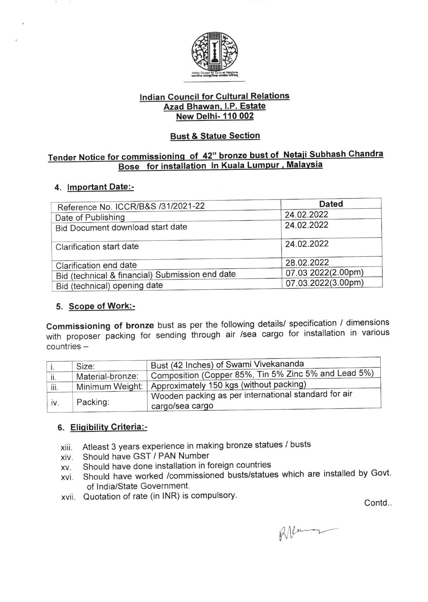

## lndian Council for Cultural Relations Azad Bhawan. l.P. Estate New Delhi- 110 002

## Bust & Statue Section

## Tender Notice for commissioning of 42" bronze bust of Netaji Subhash Chand Bose for installation In Kuala Lumpur, Malaysia

#### 4. lmportant Date:-

| Reference No. ICCR/B&S /31/2021-22              | <b>Dated</b>       |
|-------------------------------------------------|--------------------|
| Date of Publishing                              | 24.02.2022         |
| Bid Document download start date                | 24.02.2022         |
| Clarification start date                        | 24.02.2022         |
| Clarification end date                          | 28.02.2022         |
| Bid (technical & financial) Submission end date | 07.03 2022(2.00pm) |
| Bid (technical) opening date                    | 07.03.2022(3.00pm) |

## 5. Scope of Work:-

commissioning of bronze bust as per the following details/ specification / djmensions with proposer packing for sending through air /sea cargo for installation in various countries -

|      | Size:            | Bust (42 Inches) of Swami Vivekananda                                   |
|------|------------------|-------------------------------------------------------------------------|
| ii.  | Material-bronze: | Composition (Copper 85%, Tin 5% Zinc 5% and Lead 5%)                    |
| iii. | Minimum Weight:  | Approximately 150 kgs (without packing)                                 |
| iv.  | Packing:         | Wooden packing as per international standard for air<br>cargo/sea cargo |

#### 6. Eligibility Criteria:-

- xiii Atleast 3 years experience in making bronze statues / busts
- xiv Should have GST / PAN Number
- xv. Should have done installation in foreign countries
- xvi should have worked /commissioned busts/statues which are installed by Govt. of lndia/State Government.
- xvii. Quotation of rate (in INR) is compulsory.

Contd..

RNeman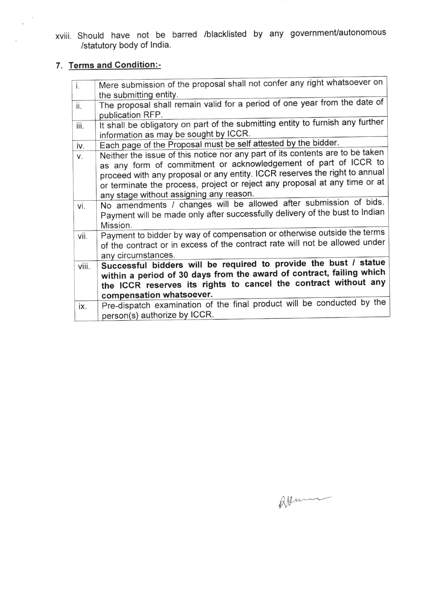xviii. Should have not be barred /blacklisted by any government/autonomous /statutory body of India.

# 7. Terms and Condition:-

 $\cdot$  $\mathbf{v}$ 

| $\overline{1}$ . | Mere submission of the proposal shall not confer any right whatsoever on       |
|------------------|--------------------------------------------------------------------------------|
|                  | the submitting entity.                                                         |
| ii.              | The proposal shall remain valid for a period of one year from the date of      |
|                  | publication RFP.                                                               |
| iii.             | It shall be obligatory on part of the submitting entity to furnish any further |
|                  | information as may be sought by ICCR.                                          |
| iv.              | Each page of the Proposal must be self attested by the bidder.                 |
| V.               | Neither the issue of this notice nor any part of its contents are to be taken  |
|                  | as any form of commitment or acknowledgement of part of ICCR to                |
|                  | proceed with any proposal or any entity. ICCR reserves the right to annual     |
|                  | or terminate the process, project or reject any proposal at any time or at     |
|                  | any stage without assigning any reason.                                        |
| vi.              | No amendments / changes will be allowed after submission of bids.              |
|                  | Payment will be made only after successfully delivery of the bust to Indian    |
|                  | Mission.                                                                       |
| vii.             | Payment to bidder by way of compensation or otherwise outside the terms        |
|                  | of the contract or in excess of the contract rate will not be allowed under    |
|                  | any circumstances.                                                             |
| viii.            | Successful bidders will be required to provide the bust / statue               |
|                  | within a period of 30 days from the award of contract, failing which           |
|                  | the ICCR reserves its rights to cancel the contract without any                |
|                  | compensation whatsoever.                                                       |
|                  | Pre-dispatch examination of the final product will be conducted by the         |
| ix.              |                                                                                |
|                  | person(s) authorize by ICCR.                                                   |

 $\mathbb{R}$ llum